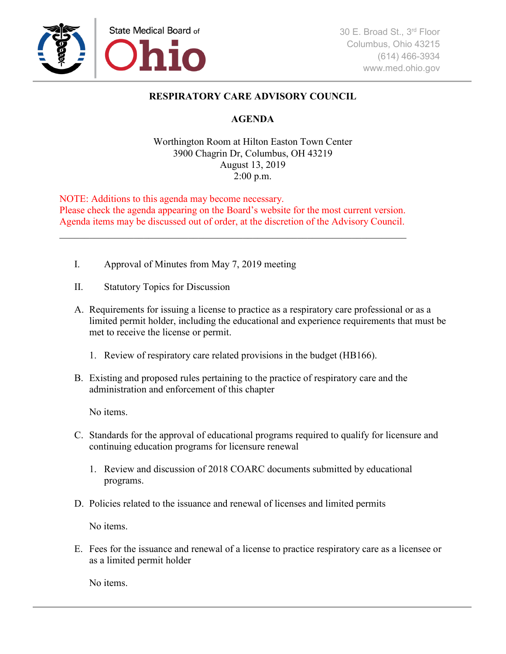

## **RESPIRATORY CARE ADVISORY COUNCIL**

## **AGENDA**

## Worthington Room at Hilton Easton Town Center 3900 Chagrin Dr, Columbus, OH 43219 August 13, 2019 2:00 p.m.

NOTE: Additions to this agenda may become necessary. Please check the agenda appearing on the Board's website for the most current version. Agenda items may be discussed out of order, at the discretion of the Advisory Council.

- I. Approval of Minutes from May 7, 2019 meeting
- II. Statutory Topics for Discussion
- A. Requirements for issuing a license to practice as a respiratory care professional or as a limited permit holder, including the educational and experience requirements that must be met to receive the license or permit.
	- 1. Review of respiratory care related provisions in the budget (HB166).
- B. Existing and proposed rules pertaining to the practice of respiratory care and the administration and enforcement of this chapter

No items.

- C. Standards for the approval of educational programs required to qualify for licensure and continuing education programs for licensure renewal
	- 1. Review and discussion of 2018 COARC documents submitted by educational programs.
- D. Policies related to the issuance and renewal of licenses and limited permits

No items.

E. Fees for the issuance and renewal of a license to practice respiratory care as a licensee or as a limited permit holder

No items.